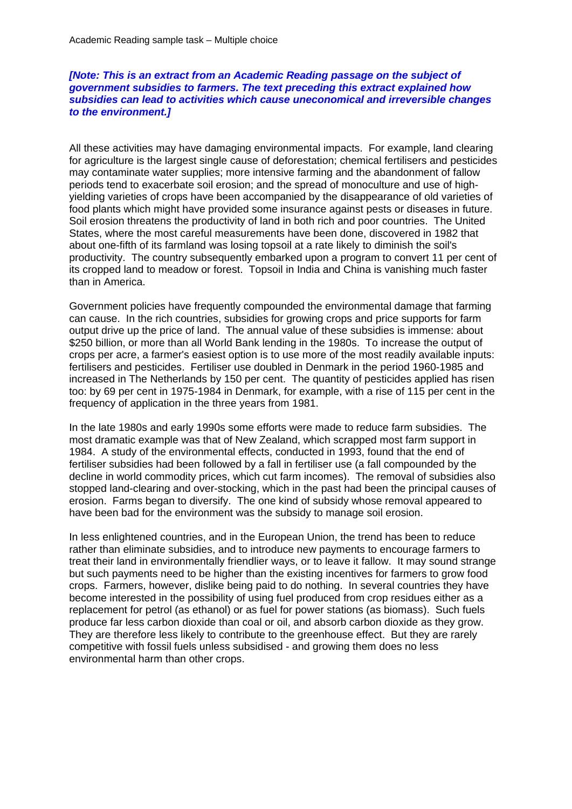## *[Note: This is an extract from an Academic Reading passage on the subject of government subsidies to farmers. The text preceding this extract explained how subsidies can lead to activities which cause uneconomical and irreversible changes to the environment.]*

All these activities may have damaging environmental impacts. For example, land clearing for agriculture is the largest single cause of deforestation; chemical fertilisers and pesticides may contaminate water supplies; more intensive farming and the abandonment of fallow periods tend to exacerbate soil erosion; and the spread of monoculture and use of highyielding varieties of crops have been accompanied by the disappearance of old varieties of food plants which might have provided some insurance against pests or diseases in future. Soil erosion threatens the productivity of land in both rich and poor countries. The United States, where the most careful measurements have been done, discovered in 1982 that about one-fifth of its farmland was losing topsoil at a rate likely to diminish the soil's productivity. The country subsequently embarked upon a program to convert 11 per cent of its cropped land to meadow or forest. Topsoil in India and China is vanishing much faster than in America.

Government policies have frequently compounded the environmental damage that farming can cause. In the rich countries, subsidies for growing crops and price supports for farm output drive up the price of land. The annual value of these subsidies is immense: about \$250 billion, or more than all World Bank lending in the 1980s. To increase the output of crops per acre, a farmer's easiest option is to use more of the most readily available inputs: fertilisers and pesticides. Fertiliser use doubled in Denmark in the period 1960-1985 and increased in The Netherlands by 150 per cent. The quantity of pesticides applied has risen too: by 69 per cent in 1975-1984 in Denmark, for example, with a rise of 115 per cent in the frequency of application in the three years from 1981.

In the late 1980s and early 1990s some efforts were made to reduce farm subsidies. The most dramatic example was that of New Zealand, which scrapped most farm support in 1984. A study of the environmental effects, conducted in 1993, found that the end of fertiliser subsidies had been followed by a fall in fertiliser use (a fall compounded by the decline in world commodity prices, which cut farm incomes). The removal of subsidies also stopped land-clearing and over-stocking, which in the past had been the principal causes of erosion. Farms began to diversify. The one kind of subsidy whose removal appeared to have been bad for the environment was the subsidy to manage soil erosion.

In less enlightened countries, and in the European Union, the trend has been to reduce rather than eliminate subsidies, and to introduce new payments to encourage farmers to treat their land in environmentally friendlier ways, or to leave it fallow. It may sound strange but such payments need to be higher than the existing incentives for farmers to grow food crops. Farmers, however, dislike being paid to do nothing. In several countries they have become interested in the possibility of using fuel produced from crop residues either as a replacement for petrol (as ethanol) or as fuel for power stations (as biomass). Such fuels produce far less carbon dioxide than coal or oil, and absorb carbon dioxide as they grow. They are therefore less likely to contribute to the greenhouse effect. But they are rarely competitive with fossil fuels unless subsidised - and growing them does no less environmental harm than other crops.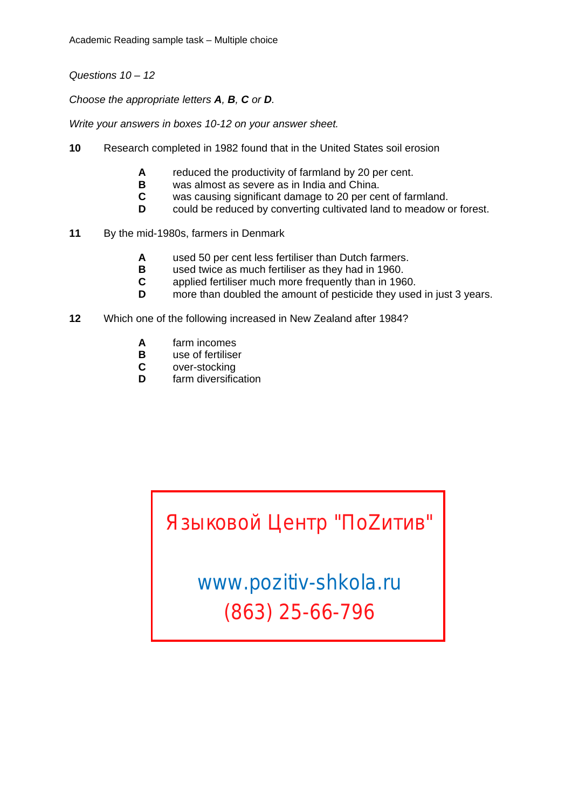Academic Reading sample task – Multiple choice

*Questions 10 – 12* 

*Choose the appropriate letters A, B, C or D.* 

*Write your answers in boxes 10-12 on your answer sheet.* 

- **10** Research completed in 1982 found that in the United States soil erosion
	- **A** reduced the productivity of farmland by 20 per cent.<br>**B** was almost as severe as in India and China.
	- **B** was almost as severe as in India and China.<br>**C** was causing significant damage to 20 per ce
	- **C** was causing significant damage to 20 per cent of farmland.<br>**D** could be reduced by converting cultivated land to meadow of
	- could be reduced by converting cultivated land to meadow or forest.
- **11** By the mid-1980s, farmers in Denmark
	- **A** used 50 per cent less fertiliser than Dutch farmers.
	- **B** used twice as much fertiliser as they had in 1960.<br>**C** applied fertiliser much more frequently than in 196
	- **C** applied fertiliser much more frequently than in 1960.
	- **D** more than doubled the amount of pesticide they used in just 3 years.
- **12** Which one of the following increased in New Zealand after 1984?
	- **A** farm incomes
	- **B** use of fertiliser
	- **C** over-stocking
	- **D** farm diversification